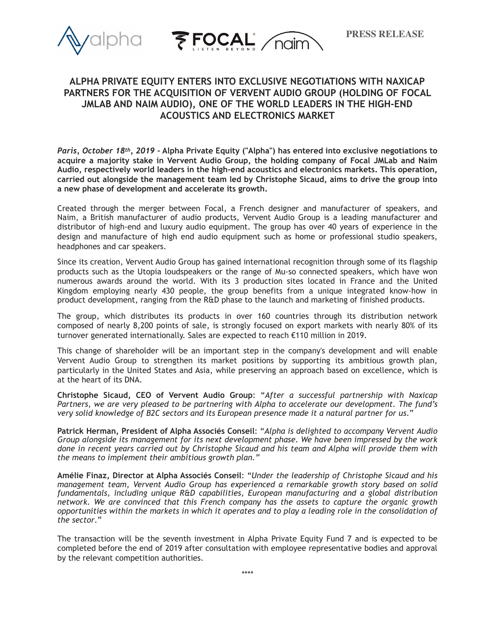



# **ALPHA PRIVATE EQUITY ENTERS INTO EXCLUSIVE NEGOTIATIONS WITH NAXICAP PARTNERS FOR THE ACQUISITION OF VERVENT AUDIO GROUP (HOLDING OF FOCAL JMLAB AND NAIM AUDIO), ONE OF THE WORLD LEADERS IN THE HIGH-END ACOUSTICS AND ELECTRONICS MARKET**

*Paris, October 18th, 2019* **- Alpha Private Equity ("Alpha") has entered into exclusive negotiations to acquire a majority stake in Vervent Audio Group, the holding company of Focal JMLab and Naim Audio, respectively world leaders in the high-end acoustics a**n**d electronics markets. This operation, carried out alongside the management team led by Christophe Sicaud, aims to drive the group into a new phase of development and accelerate its growth.**

Created through the merger between Focal, a French designer and manufacturer of speakers, and Naim, a British manufacturer of audio products, Vervent Audio Group is a leading manufacturer and distributor of high-end and luxury audio equipment. The group has over 40 years of experience in the design and manufacture of high end audio equipment such as home or professional studio speakers, headphones and car speakers.

Since its creation, Vervent Audio Group has gained international recognition through some of its flagship products such as the Utopia loudspeakers or the range of Mu-so connected speakers, which have won numerous awards around the world. With its 3 production sites located in France and the United Kingdom employing nearly 430 people, the group benefits from a unique integrated know-how in product development, ranging from the R&D phase to the launch and marketing of finished products.

The group, which distributes its products in over 160 countries through its distribution network composed of nearly 8,200 points of sale, is strongly focused on export markets with nearly 80% of its turnover generated internationally. Sales are expected to reach €110 million in 2019.

This change of shareholder will be an important step in the company's development and will enable Vervent Audio Group to strengthen its market positions by supporting its ambitious growth plan, particularly in the United States and Asia, while preserving an approach based on excellence, which is at the heart of its DNA.

**Christophe Sicaud, CEO of Vervent Audio Group**: "*After a successful partnership with Naxicap Partners, we are very pleased to be partnering with Alpha to accelerate our development. The fund's very solid knowledge of B2C sectors and its European presence made it a natural partner for us*."

**Patrick Herman, President of Alpha Associés Conseil**: "*Alpha is delighted to accompany Vervent Audio Group alongside its management for its next development phase. We have been impressed by the work done in recent years carried out by Christophe Sicaud and his team and Alpha will provide them with the means to implement their ambitious growth plan."*

**Amélie Finaz, Director at Alpha Associés Conseil**: "*Under the leadership of Christophe Sicaud and his management team, Vervent Audio Group has experienced a remarkable growth story based on solid fundamentals, including unique R&D capabilities, European manufacturing and a global distribution network. We are convinced that this French company has the assets to capture the organic growth opportunities within the markets in which it operates and to play a leading role in the consolidation of the sector*."

The transaction will be the seventh investment in Alpha Private Equity Fund 7 and is expected to be completed before the end of 2019 after consultation with employee representative bodies and approval by the relevant competition authorities.